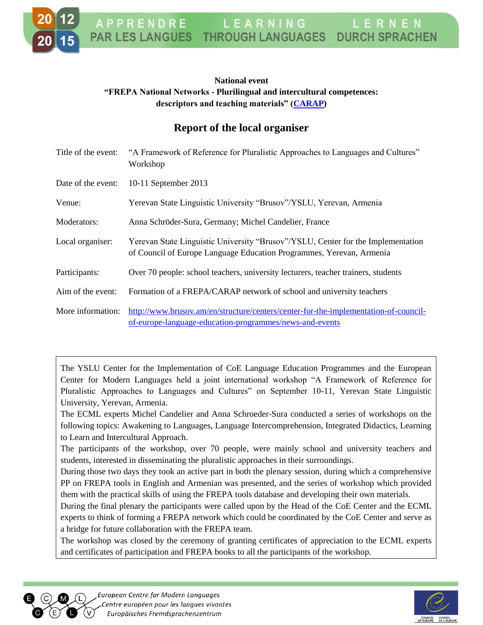## **National event "FREPA National Networks - Plurilingual and intercultural competences: descriptors and teaching materials" [\(CARAP\)](http://carap.ecml.at/)**

## **Report of the local organiser**

| Title of the event: | "A Framework of Reference for Pluralistic Approaches to Languages and Cultures"<br>Workshop                                                              |
|---------------------|----------------------------------------------------------------------------------------------------------------------------------------------------------|
| Date of the event:  | 10-11 September 2013                                                                                                                                     |
| Venue:              | Yerevan State Linguistic University "Brusov"/YSLU, Yerevan, Armenia                                                                                      |
| Moderators:         | Anna Schröder-Sura, Germany; Michel Candelier, France                                                                                                    |
| Local organiser:    | Yerevan State Linguistic University "Brusov"/YSLU, Center for the Implementation<br>of Council of Europe Language Education Programmes, Yerevan, Armenia |
| Participants:       | Over 70 people: school teachers, university lecturers, teacher trainers, students                                                                        |
| Aim of the event:   | Formation of a FREPA/CARAP network of school and university teachers                                                                                     |
| More information:   | http://www.brusov.am/en/structure/centers/center-for-the-implementation-of-council-<br>of-europe-language-education-programmes/news-and-events           |

The YSLU Center for the Implementation of CoE Language Education Programmes and the European Center for Modern Languages held a joint international workshop "A Framework of Reference for Pluralistic Approaches to Languages and Cultures" on September 10-11, Yerevan State Linguistic University, Yerevan, Armenia.

The ECML experts Michel Candelier and Anna Schroeder-Sura conducted a series of workshops on the following topics: Awakening to Languages, Language Intercomprehension, Integrated Didactics, Learning to Learn and Intercultural Approach.

The participants of the workshop, over 70 people, were mainly school and university teachers and students, interested in disseminating the pluralistic approaches in their surroundings.

During those two days they took an active part in both the plenary session, during which a comprehensive PP on FREPA tools in English and Armenian was presented, and the series of workshop which provided them with the practical skills of using the FREPA tools database and developing their own materials.

During the final plenary the participants were called upon by the Head of the CoE Center and the ECML experts to think of forming a FREPA network which could be coordinated by the CoE Center and serve as a bridge for future collaboration with the FREPA team.

The workshop was closed by the ceremony of granting certificates of appreciation to the ECML experts and certificates of participation and FREPA books to all the participants of the workshop.